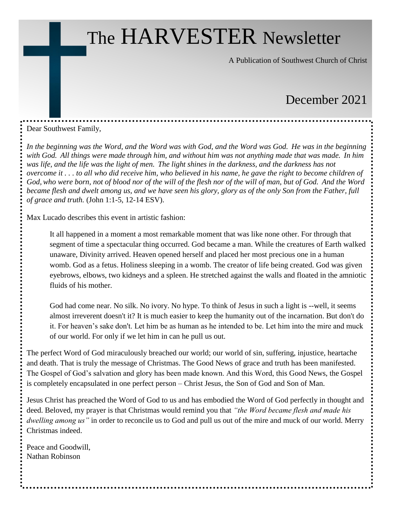# The HARVESTER Newsletter

A Publication of Southwest Church of Christ

# December 2021

Dear Southwest Family,

*In the beginning was the Word, and the Word was with God, and the Word was God. He was in the beginning with God. All things were made through him, and without him was not anything made that was made. In him was life, and the life was the light of men. The light shines in the darkness, and the darkness has not overcome it . . . to all who did receive him, who believed in his name, he gave the right to become children of God, who were born, not of blood nor of the will of the flesh nor of the will of man, but of God. And the Word became flesh and dwelt among us, and we have seen his glory, glory as of the only Son from the Father, full of grace and truth.* (John 1:1-5, 12-14 ESV).

Max Lucado describes this event in artistic fashion:

It all happened in a moment a most remarkable moment that was like none other. For through that segment of time a spectacular thing occurred. God became a man. While the creatures of Earth walked unaware, Divinity arrived. Heaven opened herself and placed her most precious one in a human womb. God as a fetus. Holiness sleeping in a womb. The creator of life being created. God was given eyebrows, elbows, two kidneys and a spleen. He stretched against the walls and floated in the amniotic fluids of his mother.

God had come near. No silk. No ivory. No hype. To think of Jesus in such a light is --well, it seems almost irreverent doesn't it? It is much easier to keep the humanity out of the incarnation. But don't do it. For heaven's sake don't. Let him be as human as he intended to be. Let him into the mire and muck of our world. For only if we let him in can he pull us out.

The perfect Word of God miraculously breached our world; our world of sin, suffering, injustice, heartache and death. That is truly the message of Christmas. The Good News of grace and truth has been manifested. The Gospel of God's salvation and glory has been made known. And this Word, this Good News, the Gospel is completely encapsulated in one perfect person – Christ Jesus, the Son of God and Son of Man.

Jesus Christ has preached the Word of God to us and has embodied the Word of God perfectly in thought and deed. Beloved, my prayer is that Christmas would remind you that *"the Word became flesh and made his dwelling among us"* in order to reconcile us to God and pull us out of the mire and muck of our world. Merry Christmas indeed.

Peace and Goodwill, Nathan Robinson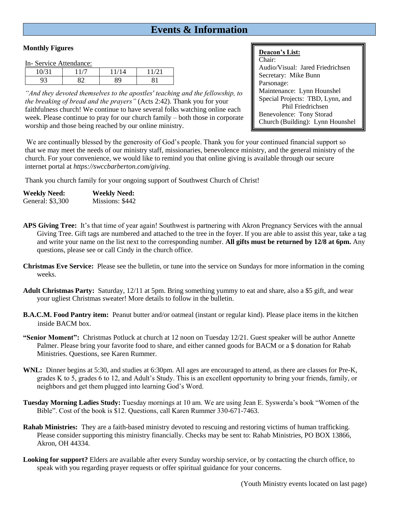# **Events & Information**

### **Monthly Figures**

In- Service Attendance:

| ± V       | - |    | $\sim$ $\sim$ |  |
|-----------|---|----|---------------|--|
| ∼י<br>ر . |   | 89 |               |  |

*"And they devoted themselves to the apostles' teaching and the fellowship, to the breaking of bread and the prayers"* (Acts 2:42). Thank you for your faithfulness church! We continue to have several folks watching online each week. Please continue to pray for our church family – both those in corporate worship and those being reached by our online ministry.

### **Deacon's List:**

Chair: Audio/Visual: Jared Friedrichsen Secretary: Mike Bunn Parsonage: Maintenance: Lynn Hounshel Special Projects: TBD, Lynn, and Phil Friedrichsen Benevolence: Tony Storad Church (Building): Lynn Hounshel

We are continually blessed by the generosity of God's people. Thank you for your continued financial support so that we may meet the needs of our ministry staff, missionaries, benevolence ministry, and the general ministry of the church. For your convenience, we would like to remind you that online giving is available through our secure internet portal at *https://swccbarberton.com/giving.*

Thank you church family for your ongoing support of Southwest Church of Christ!

| <b>Weekly Need:</b> | <b>Weekly Need:</b> |
|---------------------|---------------------|
| General: \$3,300    | Missions: \$442     |

- **APS Giving Tree:** It's that time of year again! Southwest is partnering with Akron Pregnancy Services with the annual Giving Tree. Gift tags are numbered and attached to the tree in the foyer. If you are able to assist this year, take a tag and write your name on the list next to the corresponding number. **All gifts must be returned by 12/8 at 6pm.** Any questions, please see or call Cindy in the church office.
- **Christmas Eve Service:** Please see the bulletin, or tune into the service on Sundays for more information in the coming weeks.
- **Adult Christmas Party:** Saturday, 12/11 at 5pm. Bring something yummy to eat and share, also a \$5 gift, and wear your ugliest Christmas sweater! More details to follow in the bulletin.
- **B.A.C.M. Food Pantry item:** Peanut butter and/or oatmeal (instant or regular kind). Please place items in the kitchen inside BACM box.
- **"Senior Moment":** Christmas Potluck at church at 12 noon on Tuesday 12/21. Guest speaker will be author Annette Palmer. Please bring your favorite food to share, and either canned goods for BACM or a \$ donation for Rahab Ministries. Questions, see Karen Rummer.
- **WNL:** Dinner begins at 5:30, and studies at 6:30pm. All ages are encouraged to attend, as there are classes for Pre-K, grades K to 5, grades 6 to 12, and Adult's Study. This is an excellent opportunity to bring your friends, family, or neighbors and get them plugged into learning God's Word.
- **Tuesday Morning Ladies Study:** Tuesday mornings at 10 am. We are using Jean E. Syswerda's book "Women of the Bible". Cost of the book is \$12. Questions, call Karen Rummer 330-671-7463.
- **Rahab Ministries:** They are a faith-based ministry devoted to rescuing and restoring victims of human trafficking. Please consider supporting this ministry financially. Checks may be sent to: Rahab Ministries, PO BOX 13866, Akron, OH 44334.
- **Looking for support?** Elders are available after every Sunday worship service, or by contacting the church office, to speak with you regarding prayer requests or offer spiritual guidance for your concerns.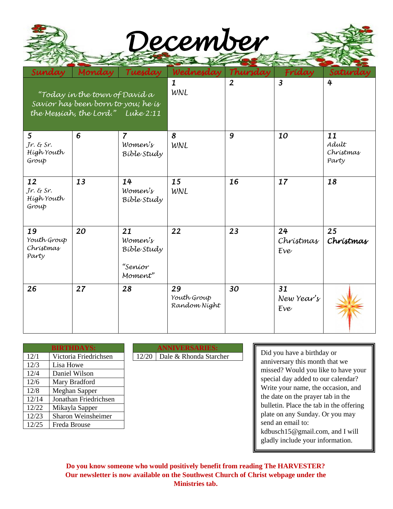| December |  |
|----------|--|
|          |  |
|          |  |

Find

| Sunday                                                                                                   | Monday | Tuesday                                            | Wednesday                         | Thursday       | Fríday                  | Saturday                          |
|----------------------------------------------------------------------------------------------------------|--------|----------------------------------------------------|-----------------------------------|----------------|-------------------------|-----------------------------------|
| "Today in the town of David a<br>Savíor has been born to you; he is<br>the Messiah, the Lord." Luke 2:11 |        |                                                    | $\mathbf{1}$<br>WNL               | $\overline{2}$ | $\overline{3}$          | 4                                 |
| 5<br>$Jr.$ & Sr.<br>Hígh Youth<br>Group                                                                  | 6      | $\overline{7}$<br>Women's<br>Bible Study           | 8<br>WNL                          | 9              | 10                      | 11<br>Adult<br>Christmas<br>Party |
| 12<br>$Jr.$ & $Sr.$<br>Hígh Youth<br>Group                                                               | 13     | 14<br>Women's<br>Bible Study                       | 15<br>WNL                         | 16             | 17                      | 18                                |
| 19<br>Youth Group<br>Christmas<br>Party                                                                  | 20     | 21<br>Women's<br>Bible Study<br>"Seníor<br>Moment" | 22                                | 23             | 24<br>Christmas<br>Eve  | 25<br>Christmas                   |
| 26                                                                                                       | 27     | 28                                                 | 29<br>Youth Group<br>Random Night | 30             | 31<br>New Year's<br>Eve |                                   |

| <b>BIRTHDAYS:</b> |                       |  |  |  |  |
|-------------------|-----------------------|--|--|--|--|
| 12/1              | Victoria Friedrichsen |  |  |  |  |
| 12/3              | Lisa Howe             |  |  |  |  |
| 12/4              | Daniel Wilson         |  |  |  |  |
| 12/6              | Mary Bradford         |  |  |  |  |
| 12/8              | <b>Meghan Sapper</b>  |  |  |  |  |
| 12/14             | Jonathan Friedrichsen |  |  |  |  |
| 12/22             | Mikayla Sapper        |  |  |  |  |
| 12/23             | Sharon Weinsheimer    |  |  |  |  |
| 12/25             | Freda Brouse          |  |  |  |  |

**BIRTHDAYS: ANNIVERSARIES:** 12/20 Dale & Rhonda Starcher

Did you have a birthday or anniversary this month that we missed? Would you like to have your special day added to our calendar? Write your name, the occasion, and the date on the prayer tab in the bulletin. Place the tab in the offering plate on any Sunday. Or you may send an email to: kdbusch15@gmail.com, and I will gladly include your information.

**Do you know someone who would positively benefit from reading The HARVESTER? Our newsletter is now available on the Southwest Church of Christ webpage under the Ministries tab.**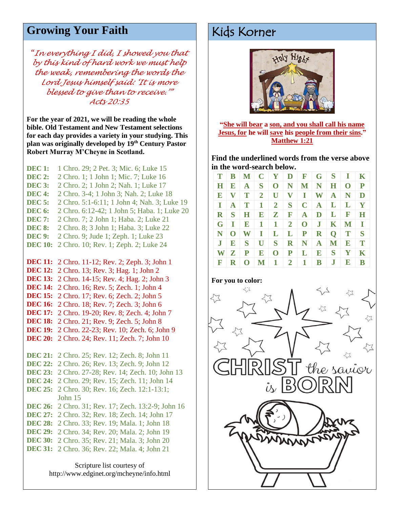# Growing Your Faith **Kids Korner**

*"In everything I did, I showed you that by this kind of hard work we must help the weak, remembering the words the Lord Jesus himself said: 'It is more blessed to give than to receive.'" Acts 20:35*

**For the year of 2021, we will be reading the whole bible. Old Testament and New Testament selections for each day provides a variety in your studying. This plan was originally developed by 19th Century Pastor Robert Murray M'Cheyne in Scotland.**

**DEC 1:** 1 Chro. 29; 2 Pet. 3; Mic. 6; Luke 15 **DEC 2:** 2 Chro. 1; 1 John 1; Mic. 7; Luke 16 **DEC 3:** 2 Chro. 2; 1 John 2; Nah. 1; Luke 17 **DEC 4:** 2 Chro. 3-4; 1 John 3; Nah. 2; Luke 18 **DEC 5:** 2 Chro. 5:1-6:11; 1 John 4; Nah. 3; Luke 19 **DEC 6:** 2 Chro. 6:12-42; 1 John 5; Haba. 1; Luke 20 **DEC 7:** 2 Chro. 7; 2 John 1; Haba. 2; Luke 21 **DEC 8:** 2 Chro. 8; 3 John 1; Haba. 3; Luke 22 **DEC 9:** 2 Chro. 9; Jude 1; Zeph. 1; Luke 23 **DEC 10:** 2 Chro. 10; Rev. 1; Zeph. 2; Luke 24 **DEC 11:** 2 Chro. 11-12; Rev. 2; Zeph. 3; John 1 **DEC 12:** 2 Chro. 13; Rev. 3; Hag. 1; John 2 **DEC 13:** 2 Chro. 14-15; Rev. 4; Hag. 2; John 3 **DEC 14:** 2 Chro. 16; Rev. 5; Zech. 1; John 4 **DEC 15:** 2 Chro. 17; Rev. 6; Zech. 2; John 5 **DEC 16:** 2 Chro. 18; Rev. 7; Zech. 3; John 6 **DEC 17:** 2 Chro. 19-20; Rev. 8; Zech. 4; John 7 **DEC 18:** 2 Chro. 21; Rev. 9; Zech. 5; John 8 **DEC 19:** 2 Chro. 22-23; Rev. 10; Zech. 6; John 9 **DEC 20:** 2 Chro. 24; Rev. 11; Zech. 7; John 10 **DEC 21:** 2 Chro. 25; Rev. 12; Zech. 8; John 11 **DEC 22:** 2 Chro. 26; Rev. 13; Zech. 9; John 12 **DEC 23:** 2 Chro. 27-28; Rev. 14; Zech. 10; John 13 **DEC 24:** 2 Chro. 29; Rev. 15; Zech. 11; John 14 **DEC 25:** 2 Chro. 30; Rev. 16; Zech. 12:1-13:1; John 15 **DEC 26:** 2 Chro. 31; Rev. 17; Zech. 13:2-9; John 16 **DEC 27:** 2 Chro. 32; Rev. 18; Zech. 14; John 17 **DEC 28:** 2 Chro. 33; Rev. 19; Mala. 1; John 18 **DEC 29:** 2 Chro. 34; Rev. 20; Mala. 2; John 19 **DEC 30:** 2 Chro. 35; Rev. 21; Mala. 3; John 20 **DEC 31:** 2 Chro. 36; Rev. 22; Mala. 4; John 21

> Scripture list courtesy of http://www.edginet.org/mcheyne/info.html



**"She will bear a son, and you shall call his name Jesus, for he will save his people from their sins." Matthew 1:21**

**Find the underlined words from the verse above in the word-search below.** 

| T              | $\mathbf{B}$   |              |                |                |                              |                          | M C Y D F G S I |              |                         | $\mathbf K$  |
|----------------|----------------|--------------|----------------|----------------|------------------------------|--------------------------|-----------------|--------------|-------------------------|--------------|
| Η              | E              |              | $A \mid S$     |                | O N                          |                          | $M \mid N \mid$ | $H^-$        | $\overline{\mathbf{O}}$ | P            |
| $\mathbf{E}$   | $\mathbf{V}$   | T            | $2^{\circ}$    |                |                              | $U$ $V$ $I$              | W               | $\mathbf{A}$ | $\mathbf N$             | D            |
| $\mathbf{I}$   | $\mathbf{A}$   | $\bf{T}$     | 1              | 2 <sup>1</sup> | S <sub>1</sub>               |                          | $C$ $A$ $L$ $L$ |              |                         | Y            |
| $\mathbf{R}$   | S <sub>1</sub> | H            | E              |                | $\mathbf{Z}$ in $\mathbf{R}$ | ${\bf A}$                | D L F           |              |                         | H            |
| G              | $\mathbf{I}$   |              | $\mathbf{E}$ 1 | $\mathbf{1}$   | $\vert 2 \vert$              |                          | $0 \mid J \mid$ | $\mathbf{K}$ | $\mathbf M$             | $\mathbf{I}$ |
| N              | $\mathbf{O}$   | $W$ I        |                |                |                              |                          | $L$ $L$ $P$ $R$ |              | $Q$ T                   | S            |
| J <sub>1</sub> | E              | $\mathbf{S}$ | $\mathbf{U}$   |                |                              | $S \ R \ N \ A$          |                 | $\mathbf M$  | $\bf E$                 | T            |
| W              | $\mathbf{Z}$   | ${\bf P}$    | E              | $\mathbf{O}$   |                              | $P \mid L \mid$          | E               | $\mathbf{S}$ | $\mathbf{Y}$            | K            |
| $\mathbf F$    | $\mathbf{R}$   | $\mathbf{0}$ |                |                |                              | $M \mid 1 \mid 2 \mid 1$ | $\mathbf{B}$    | $\mathbf{J}$ | $\mathbf E$             | B            |